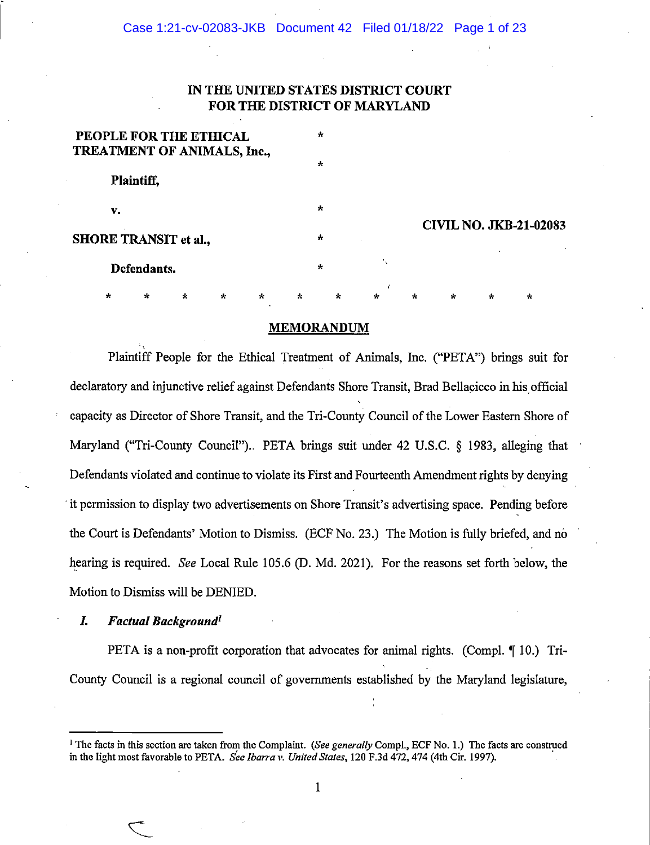Case 1:21-cv-02083-JKB Document 42 Filed 01/18/22 Page 1 of 23

# **IN THE UNITED STATES DISTRICT COURT FOR THE DISTRICT OF MARYLAND**

| PEOPLE FOR THE ETHICAL<br>TREATMENT OF ANIMALS, Inc., |            |              |         |         |              |         | $\star$      |         |                    |         |              |         |                               |
|-------------------------------------------------------|------------|--------------|---------|---------|--------------|---------|--------------|---------|--------------------|---------|--------------|---------|-------------------------------|
|                                                       | Plaintiff, |              |         |         |              |         | $\star$      |         |                    |         |              |         |                               |
|                                                       | v.         |              |         |         |              |         | $\star$      |         |                    |         |              |         | <b>CIVIL NO. JKB-21-02083</b> |
| <b>SHORE TRANSIT et al.,</b>                          |            |              |         |         |              |         | $\star$      |         |                    |         |              |         |                               |
| Defendants.                                           |            |              |         |         |              |         | $\mathbf{r}$ |         | $\mathcal{F}_\chi$ |         |              |         |                               |
|                                                       | $\star$    | $\mathbf{r}$ | $\star$ | $\star$ | $\mathbf{x}$ | $\star$ |              | $\star$ | $\star$            | $\star$ | $\mathbf{r}$ | $\star$ | $\star$                       |

#### **MEMORANDUM**

Plaintiff People for the Ethical Treatment of Animals, Inc. ("PETA") brings suit for declaratory and injunctive relief against Defendants Shore Transit, Brad Bellacicco in his official capacity as Director of Shore Transit, and the Tri-County Council of the Lower Eastern Shore of Maryland ("Tri-County Council").. PETA brings suit under 42 U.S.C. § 1983, alleging that Defendants violated and continue to violate its First and Fourteenth Amendment rights by denying ·it permission to display two advertisements on Shore Transit's advertising space. Pending before the Court is Defendants' Motion to Dismiss. (ECF No. 23.) The Motion is fully briefed, and no hearing is required. *See Local Rule 105.6 (D. Md. 2021).* For the reasons set forth below, the Motion to Dismiss will be DENIED.

#### *L Factual Background***<sup>1</sup>**

.,

PETA is a non-profit corporation that advocates for animal rights. (Compl.  $\P$  10.) Tri-County Council is a regional council of governments established by the Maryland legislature,

<sup>1</sup> The facts in this section are taken from the Complaint. *(See generally* Compl., ECF No. I.) The facts are construed in the light most favorable to PETA. See *Ibarra v. United States*, 120 F.3d 472, 474 (4th Cir. 1997).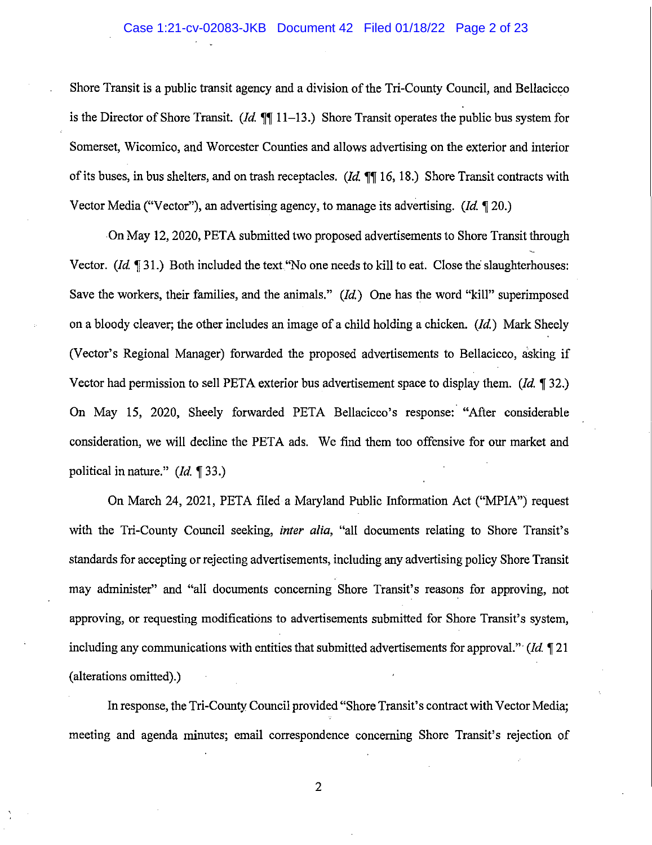## Case 1:21-cv-02083-JKB Document 42 Filed 01/18/22 Page 2 of 23

Shore Transit is a public transit agency and a division of the Tri-County Council, and Bellacicco is the Director of Shore Transit. *(Id.*  $\P\P$  11-13.) Shore Transit operates the public bus system for Somerset, Wicomico, and Worcester Counties and allows advertising on the exterior and interior of its buses, in bus shelters, and on trash receptacles. *(Id.*  $\mathbb{T}$  16, 18.) Shore Transit contracts with Vector Media ("Vector"), an advertising agency, to manage its advertising. (Id.  $\llbracket 20.$ )

On May 12, 2020, PETA submitted two proposed advertisements to Shore Transit through Vector. *(Id.*  $\llbracket 31.$ ) Both included the text "No one needs to kill to eat. Close the slaughterhouses: Save the workers, their families, and the animals." *(Id.)* One has the word "kill" superimposed on a bloody cleaver; the other includes an image of a child holding a chicken.  $(Id.)$  Mark Sheely (Vector's Regional Manager) forwarded the proposed advertisements to Bellacicco, asking if Vector had permission to sell PETA exterior bus advertisement space to display them. *(Id.* 132.) On May 15, 2020, Sheely forwarded PETA Bellacicco's response: "After considerable consideration, we will decline the PETA ads. We find them too offensive for our market and political in nature." *(Id.* 133.)

On March 24, 2021, PETA filed a Maryland Public Information Act ("MPIA") request with the Tri-County Council seeking, *inter alia,* "all documents relating to Shore Transit's standards for accepting or rejecting advertisements, including any advertising policy Shore Transit may administer" and "all documents concerning Shore Transit's reasons for approving, not approving, or requesting modifications to advertisements submitted for Shore Transit's system, including any communications with entities that submitted advertisements for approval." (Id.  $\P$  21 (alterations omitted).)

In response, the Tri-County Council provided "Shore Transit's contract with Vector Media; meeting and agenda minutes; email correspondence concerning Shore Transit's rejection of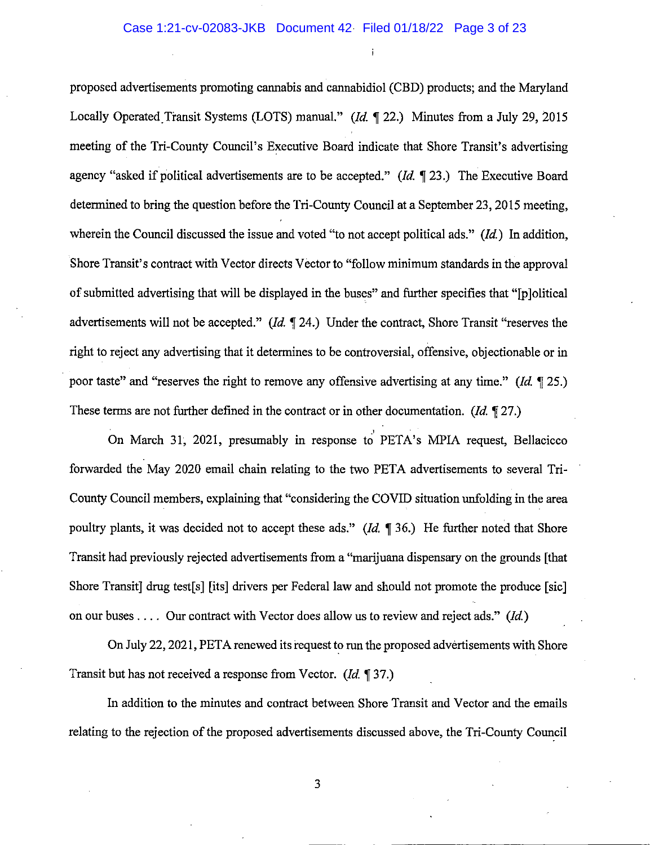### Case 1:21-cv-02083-JKB Document 42 Filed 01/18/22 Page 3 of 23

proposed advertisements promoting cannabis and cannabidiol (CBD) products; and the Maryland Locally Operated Transit Systems (LOTS) manual." *(Id.* 122.) Minutes from a July 29, 2015 meeting of the Tri-County Council's Executive Board indicate that Shore Transit's advertising agency "asked if political advertisements are to be accepted." *(Id.* 123.) The Executive Board determined to bring the question before the Tri-County Council at a September 23, 2015 meeting, wherein the Council discussed the issue and voted "to not accept political ads." *(Id)* In addition, Shore Transit's contract with Vector directs Vector to "follow minimum standards in the approval of submitted advertising that will be displayed in the buses" and further specifies that "[p ]olitical advertisements will not be accepted." *(Id.*  $\mathbb{I}$  24.) Under the contract, Shore Transit "reserves the right to reject any advertising that it determines to be controversial, offensive, objectionable or in poor taste" and "reserves the right to remove any offensive advertising at any time." *(Id.* 125.) These terms are not further defined in the contract or in other documentation. *(Id.*  $\sqrt{27}$ .)

On March 31, 2021, presumably in response to PETA's MPIA request, Bellacicco forwarded the May 2020 email chain relating to the two PETA advertisements to several Tri-County Council members, explaining that "considering the COVID situation unfolding in the area poultry plants, it was decided not to accept these ads." *(Id.*  $\parallel$  36.) He further noted that Shore Transit had previously rejected advertisements from a "marijuana dispensary on the grounds [that Shore Transit] drug test[s] [its] drivers per Federal law and should not promote the produce [sic] on our buses .... Our contract with Vector does allow us to review and reject ads." *(Id.)* 

On July 22, 2021, PETA renewed its request to run the proposed advertisements with Shore Transit but has not received a response from Vector. *(Id.* 137.)

In addition to the minutes and contract between Shore Transit and Vector and the emails relating to the rejection of the proposed advertisements discussed above, the Tri-County Council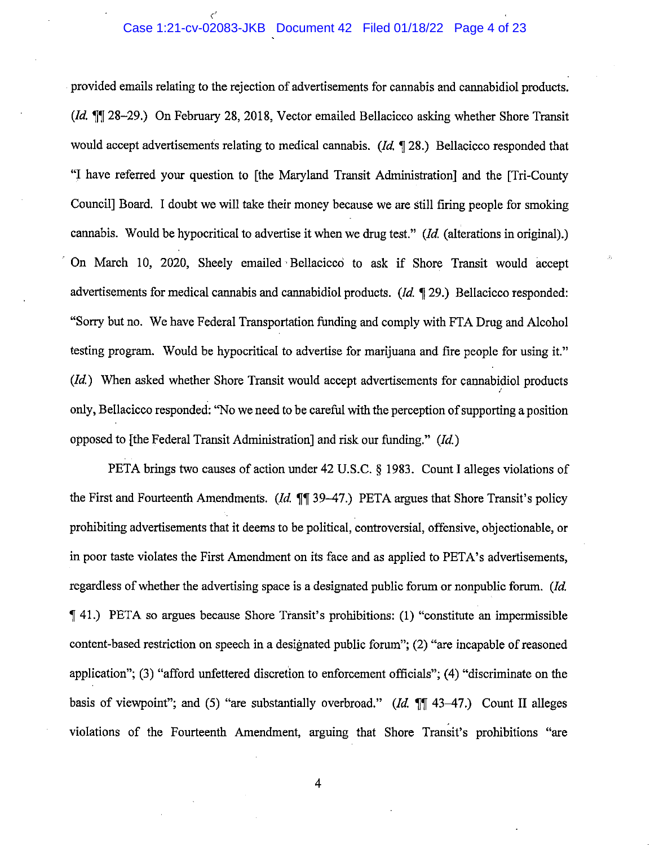#### Case 1:21-cv-02083-JKB Document 42 Filed 01/18/22 Page 4 of 23 *c'*

provided emails relating to the rejection of advertisements for cannabis and cannabidiol products.  $(id$ .  $\P\P$  28-29.) On February 28, 2018, Vector emailed Bellacicco asking whether Shore Transit would accept advertisements relating to medical cannabis. ( $Id$ ,  $\P$  28.) Bellacicco responded that "I have referred your question to [the Maryland Transit Administration] and the [Tri-County Council] Board. I doubt we will take their money because we are still firing people for smoking cannabis. Would be hypocritical to advertise it when we drug test." *(Id* (alterations in original).) On March 10, 2020, Sheely emailed Bellacicco to ask if Shore Transit would accept advertisements for medical cannabis and cannabidiol products. ( $Id. \P$  29.) Bellacicco responded: "Sorry but no. We have Federal Transportation funding and comply with FTA Drug and Alcohol testing program. Would be hypocritical to advertise for marijuana and fire people for using it." *(Id)* When asked whether Shore Transit would accept advertisements for cannabidiol products I only, Bellacicco responded: "No we need to be careful with the perception of supporting a position opposed to [the Federal Transit Administration] and risk our funding."  $(Id.)$ 

PETA brings two causes of action under 42 U.S.C. § 1983. Count I alleges violations of the First and Fourteenth Amendments. (*Id.*  $\P\P$  39-47.) PETA argues that Shore Transit's policy prohibiting advertisements that it deems to be political, controversial, offensive, objectionable, or in poor taste violates the First Amendment on its face and as applied to PETA's advertisements, regardless of whether the advertising space is a designated public forum or nonpublic forum. (Id. <sup>~</sup>41.) PETA so argues because Shore Transit's prohibitions: (1) "constitute an impermissible content-based restriction on speech in a designated public forum"; (2) "are incapable of reasoned application"; (3) "afford unfettered discretion to enforcement officials"; (4) "discriminate on the basis of viewpoint"; and (5) "are substantially overbroad." (Id. [[1] 43-47.) Count II alleges violations of the Fourteenth Amendment, arguing that Shore Transit's prohibitions "are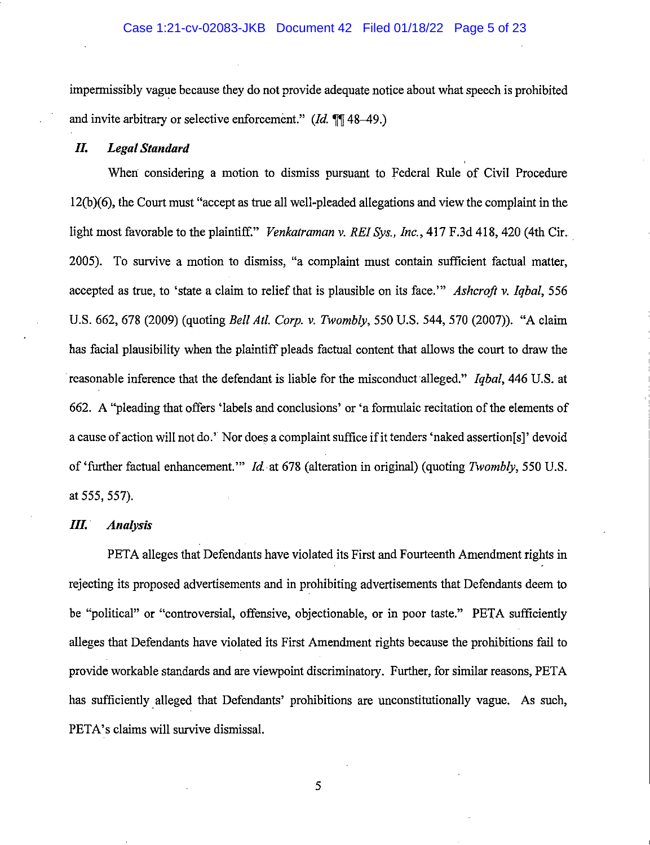impermissibly vague because they do not provide adequate notice about what speech is prohibited and invite arbitrary or selective enforcement."  $(Id. \P \P 48-49.)$ 

### **IL** *Legal Standard*

When considering a motion to dismiss pursuant to Federal Rule of Civil Procedure 12(b )( 6), the Court must "accept as true all well-pleaded allegations and view the complaint in the light most favorable to the plaintiff." *Venkatraman v. REI Sys., Inc.*, 417 F.3d 418, 420 (4th Cir. 2005). To survive a motion to dismiss, "a complaint must contain sufficient factual matter, accepted as true, to 'state a claim to relief that is plausible on its face."' *Ashcroft v. Iqbal,* 556 U.S. 662, 678 (2009) (quoting *Bell At!. Corp. v. Twombly,* 550 U.S. 544, 570 (2007)). "A claim has facial plausibility when the plaintiff pleads factual content that allows the court to draw the reasonable inference that the defendant is liable for the misconduct alleged." *Iqbal,* 446 U.S. at 662. A "pleading that offers 'labels and conclusions' or 'a formulaic recitation of the elements of a cause of action will not do.' Nor does a complaint suffice if it tenders 'naked assertion[s]' devoid of 'further factual enhancement."' !d. at 678 (alteration in original) (quoting *Twombly,* 550 U.S. at 555, 557).

#### **IlL ·** *Analysis*

PETA alleges that Defendants have violated its First and Fourteenth Amendment rights in rejecting its proposed advertisements and in prohibiting advertisements that Defendants deem to be "political" or "controversial, offensive, objectionable, or in poor taste." PETA sufficiently alleges that Defendants have violated its First Amendment rights because the prohibitions fail to provide workable standards and are viewpoint discriminatory. Further, for similar reasons, PETA has sufficiently. alleged that Defendants' prohibitions are unconstitutionally vague. As such, PETA's claims will survive dismissal.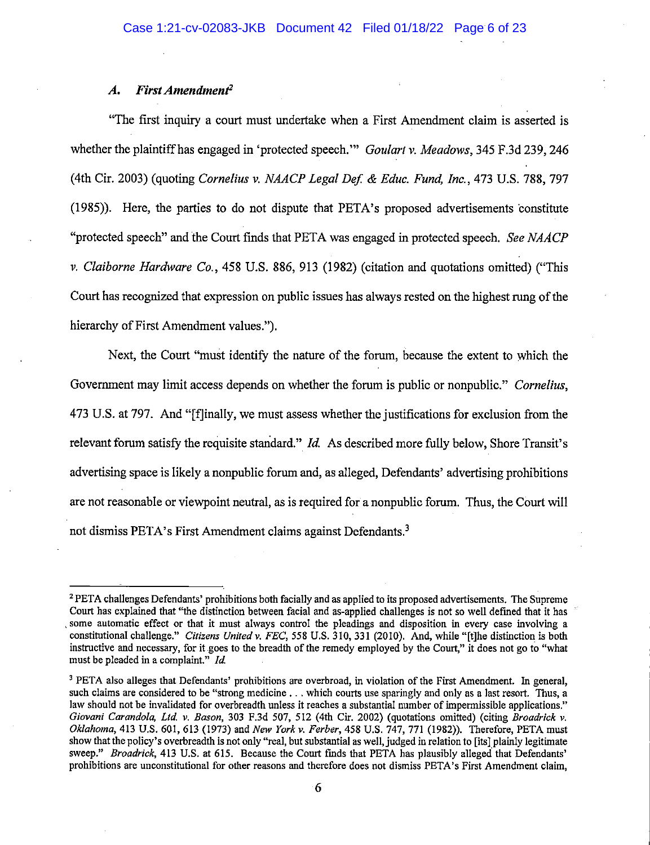#### *A. First Amendment2*

"The first inquiry a court must undertake when a First Amendment claim is asserted is whether the plaintiff has engaged in 'protected speech."' *Goulart v. Meadows,* 345 F.3d 239,246 (4th Cir. 2003) (quoting *Cornelius v. NAACP Legal Def* & *Educ. Fund, Inc.,* 473 U.S. 788, 797 (1985)). Here, the parties to do not dispute that PETA's proposed advertisements 'constitute "protected speech" and the Court fmds that PETA was engaged in protected speech. *See NAACP v. Claiborne Hardware Co.,* 458 U.S. 886, 913 (1982) (citation and quotations omitted) ("This Court has recognized that expression on public issues has always rested on the highest rung of the hierarchy of First Amendment values.").

Next, the Court "must identifY the nature of the forum, because the extent to which the Government may limit access depends on whether the forum is public or nonpublic." *Cornelius,*  473 U.S. at 797. And "[f]inally, we must assess whether the justifications for exclusion from the relevant forum satisfy the requisite standard." *Id.* As described more fully below, Shore Transit's advertising space is likely a nonpublic forum and, as alleged, Defendants' advertising prohibitions are not reasonable or viewpoint neutral, as is required for a nonpublic forum. Thus, the Court will not dismiss PETA's First Amendment claims against Defendants.<sup>3</sup>

<sup>&</sup>lt;sup>2</sup> PETA challenges Defendants' prohibitions both facially and as applied to its proposed advertisements. The Supreme Court has explained that "the distinction betweeu facial and as-applied challenges is not so well defmed that it has . some automatic effect or that it must always control the pleadings and disposition in every case involving a constitutional challenge." *Citizens Unitedv. FEC,* 558 U.S. 310,331 (2010). Aud, while "[t]he distinction is both instructive and necessary, for it goes to the breadth of the remedy employed by the Court," it does not go to "what must be pleaded in a complaint." *Id* 

<sup>&</sup>lt;sup>3</sup> PETA also alleges that Defendants' prohibitions are overbroad, in violation of the First Amendment. In general, such claims are considered to be "strong medicine ... which courts use sparingly and only as a last resort. Thus, a law should not be invalidated for overbreadth unless it reaches a substantial number of impermissible applications." *Giovani Carando/a, Ltd v. Bason,* 303 F.3d 507, 512 (4th Cir. 2002) (quotations omitted) (citing *Broadrick v. Oklahoma,* 413 U.S. 601, 613 (1973) and *New York v. Ferber,* 458 U.S. 747, 771 (1982)). Therefore, PETA must show that the policy's overbreadth is not only "real, but substantial as well, judged in relation to [its] plainly legitimate sweep." *Broadrick*, 413 U.S. at 615. Because the Court finds that PETA has plausibly alleged that Defendants' prohibitions are unconstitutional for other reasons and therefore does not dismiss PET A's First Amendment claim,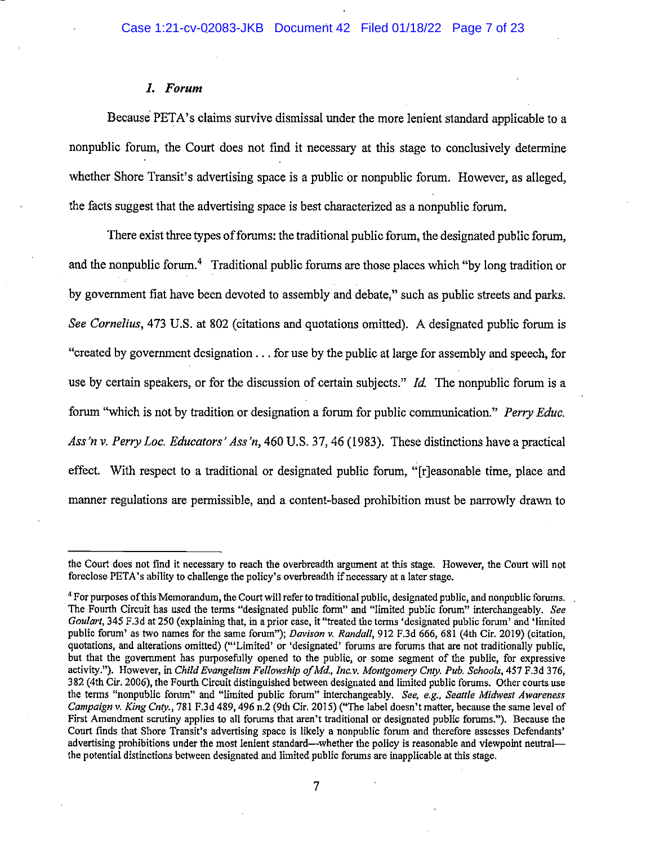#### **1.** *Forum*

Because PETA's claims survive dismissal under the more lenient standard applicable to a nonpublic forum, the Court does not find it necessary at this stage to conclusively determine whether Shore Transit's advertising space is a public or nonpublic forum. However, as alleged, the facts suggest that the advertising space is best characterized as a nonpublic forum.

There exist three types of forums: the traditional public forum, the designated public forum, and the nonpublic forum.<sup>4</sup> Traditional public forums are those places which "by long tradition or by government fiat have been devoted to assembly and debate," such as public streets and parks. *See Cornelius,* 473 U.S. at 802 (citations and quotations omitted). A designated public forum is "created by government designation ... for use by the public at large for assembly and speech, for use by certain speakers, or for the discussion of certain subjects." *!d.* The nonpublic forum is a forum "which is not by tradition or designation a forum for public communication." *Perry Educ. Ass 'n v. Perry Lac. Educators' Ass 'n,* 460 U.S. 37, 46 (1983). These distinctions have a practical effect. With respect to a traditional or designated public forum, "[r]easonable time, place and manner regulations are permissible, and a content-based prohibition must be narrowly drawn to

the Court does not fmd it necessary to reach the overbreadth argument at this stage. However, the Court will not foreclose PETA's ability to challenge the policy's overbreadth if necessary at a later stage.

<sup>4</sup> For purposes of this Memorandum, the Court will refer to traditional public, designated public, and nonpublic forums. The Fourth Circuit has used the terms "designated public form" and "limited public forum" interchangeably. *See Goulart,* 345 F.3d at 250 (explaining that, in a prior case, it "treated the terms 'designated public forum' and 'limited public forum' as two names for the same forum"); *Davison v. Randall,* 912 F.3d 666, 681 (4th Cir. 2019) (citation, quotations, and alterations omitted) ("'Limited' or 'designated' forums are forums that are not traditionally public, but that the government has purposefully opened to the public, or some segment of the public, for expressive activity."). However, in *Child Evangelism Fellowship of Md, Inc.v. Montgomery Cnty. Pub. Schools,* 457 F.3d 376, 382 (4th Cir. 2006), the Fourth Circuit distinguished between designated and limited public forums. Other courts use the terms "nonpublic forum" and "limited public forum" interchangeably. *See, e.g., Seattle Midwest Awareness Campaign* v. *King Cnty.,* 781 F.3d 489,496 n.2 (9th Cir. 2015) ("The label doesn't matter, because the same level of First Amendment scrutiny applies to all forums that aren't traditional or designated public forums."). Because the Court finds that Shore Transit's advertising space is likely a nonpublic forum and therefore assesses Defendants' advertising prohibitions under the most lenient standard--whether the policy is reasonable and viewpoint neutralthe potential distinctions between designated and limited public forums are inapplicable at this stage.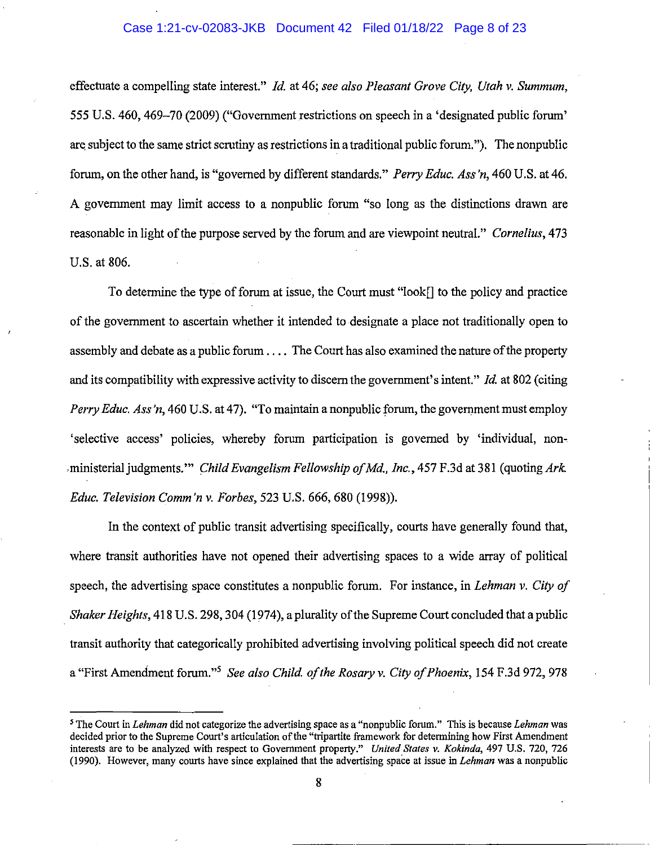### Case 1:21-cv-02083-JKB Document 42 Filed 01/18/22 Page 8 of 23

effectuate a compelling state interest." */d.* at 46; *see also Pleasant Grove City, Utah v. Summum,*  555 U.S. 460, 469–70 (2009) ("Government restrictions on speech in a 'designated public forum' are subject to the same strict scrutiny as restrictions in a traditional public forum."). The nonpublic forum, on the other hand, is "governed by different standards." *Perry Educ. Ass 'n,* 460 U.S. at 46. A government may limit access to a nonpublic forum "so long as the distinctions drawn are reasonable in light of the purpose served by the forum and are viewpoint neutral." *Cornelius,* 473 U.S. at 806.

To determine the type of forum at issue, the Court must "look[] to the policy and practice of the government to ascertain whether it intended to designate a place not traditionally open to assembly and debate as a public forum .... The Court has also examined the nature of the property and its compatibility with expressive activity to discern the government's intent." *!d.* at 802 (citing *Perry Educ. Ass'n,* 460 U.S. at 47). "To maintain a nonpublic forum, the government must employ 'selective access' policies, whereby forum participation is governed by 'individual, non-. . ministerial judgments.'" *Child Evangelism Fellowship ofMd., Inc.,* 457 F.3d at 381 (quoting *Ark. Educ. Television Comm'n v. Forbes,* 523 U.S. 666,680 (1998)).

In the context of public transit advertising specifically, courts have generally found that, where transit authorities have not opened their advertising spaces to a wide array of political speech, the advertising space constitutes a nonpublic forum. For instance, in *Lehman v. City of Shaker Heights,* 418 U.S. 298, 304 (1974), a plurality of the Supreme Court concluded that a public transit authority that categorically prohibited advertising involving political speech did not create a "First Amendment forum."<sup>5</sup>*See also Child. of the Rosary v. City of Phoenix,* 154 F.3d 972, 978

<sup>&#</sup>x27;The Court in *Lehman* did not categorize the advertising space as a "nonpublic forum." This is because *Lehman* was decided prior to the Supreme Court's articulation of the "tripartite framework for determining how First Amendment interests are to be analyzed with respect to Government property." *United States v. Kokinda,* 497 U.S. 720, 726 (1990). However, many courts have since explained that the advertising space at issue in *Lehman* was a nonpublic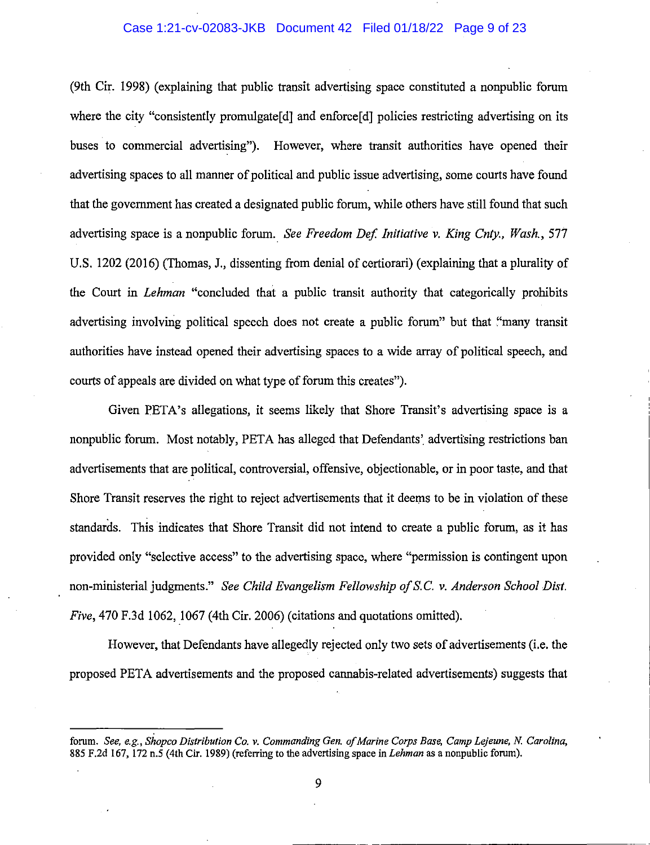#### Case 1:21-cv-02083-JKB Document 42 Filed 01/18/22 Page 9 of 23

(9th Cir. 1998) (explaining that public transit advertising space constituted a nonpublic forum where the city "consistently promulgate [d] and enforce [d] policies restricting advertising on its buses to commercial advertising"). However, where transit authorities have opened their advertising spaces to all manner of political and public issue advertising, some courts have found that the government has created a designated public forum, while others have still found that such advertising space is a nonpublic forum. *See Freedom Def Initiative v. King Cnty., Wash.,* 577 U.S. 1202 (2016) (Thomas, J., dissenting from denial of certiorari) (explaining that a plurality of the Court in *Lehman* "concluded that a public transit authority that categorically prohibits advertising involving political speech does not create a public forum" but that "many transit authorities have instead opened their advertising spaces to a wide array of political speech, and courts of appeals are divided on what type of forum this creates").

Given PETA's allegations, it seems likely that Shore Transit's advertising space is a nonpublic forum. Most notably, PETA has alleged that Defendants' advertising restrictions ban advertisements that are political, controversial, offensive, objectionable, or in poor taste, and that Shore Transit reserves the right to reject advertisements that it deems to be in violation of these standards. This indicates that Shore Transit did not intend to create a public forum, as it has provided only "selective access" to the advertising space, where "permission is contingent upon non-ministerial judgments." *See Child Evangelism Fellowship of* S.C. *v. Anderson School Dist. Five*, 470 F.3d 1062, 1067 (4th Cir. 2006) (citations and quotations omitted).

However, that Defendants have allegedly rejected only two sets of advertisements (i.e. the proposed PET A advertisements and the proposed cannabis-related advertisements) suggests that

forum. *See, e.g., Shopco Distribution Co. v. Commanding Gen. of Marine Corps Base, Camp Lejeune, N. Carolina,*  885 F.2d 167, 172 n.5 (4th Cir. 1989) (referring to the advertising space in *Lehman* as a nonpublic forum).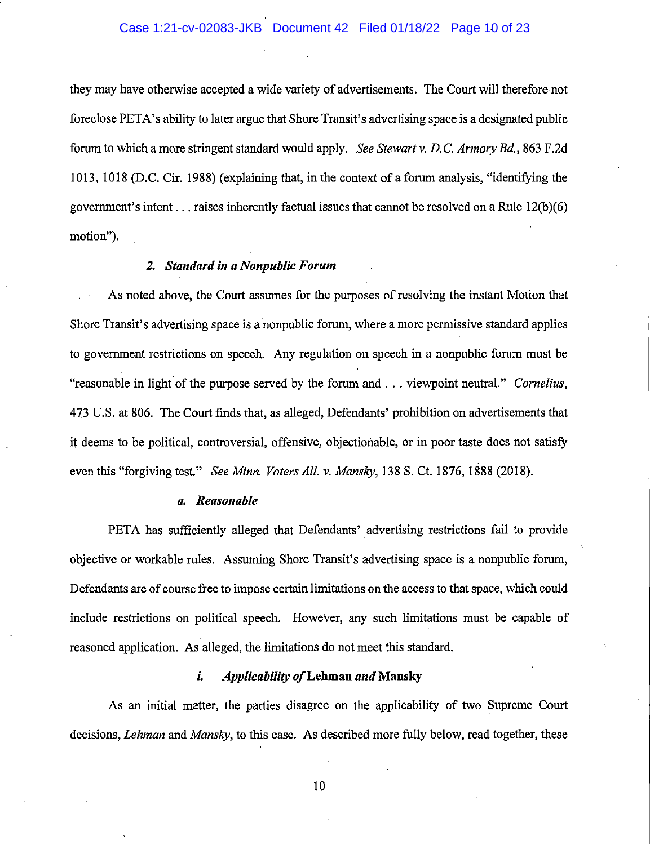# Case 1:21-cv-02083-JKB Document 42 Filed 01/18/22 Page 10 of 23

they may have otherwise accepted a wide variety of advertisements. The Court will therefore not foreclose PET A's ability to later argue that Shore Transit's advertising space is a designated public forum to which a more stringent standard would apply. *See Stewartv. D.C. Armory Bd.,* 863 F.2d 1013, 1018 (D.C. Cir. 1988) (explaining that, in the context of a forum analysis, "identifying the government's intent  $\dots$  raises inherently factual issues that cannot be resolved on a Rule 12(b)(6) motion").

## *2. Standard in a Nonpub/ic Forum*

As noted above, the Court assumes for the purposes of resolving the instant Motion that Shore Transit's advertising space is a nonpublic forum, where a more permissive standard applies to govermnent restrictions on speech. Any regulation on speech in a nonpublic forum must be "reasonable in light of the purpose served by the forum and ... viewpoint neutral." *Cornelius*, 473 U.S. at 806. The Court finds that, as alleged, Defendants' prohibition on advertisements that it deems to be political, controversial, offensive, objectionable, or in poor taste does not satisfy even this "forgiving test." *See Minn. Voters All. v. Mansky,* 138 S. Ct. 1876, 1888 (2018).

#### *a. Reasonable*

PETA has sufficiently alleged that Defendants' advertising restrictions fail to provide objective or workable rules. Assuming Shore Transit's advertising space is a nonpublic forum, Defendants are of course free to impose certain limitations on the access to that space, which could include restrictions on political speech. However, any such limitations must be capable of reasoned application. As alleged, the limitations do not meet this standard.

#### *i. Applicability of* **Lehman** *and* **Mansky**

As an initial matter, the parties disagree on the applicability of two Supreme Court decisions, *Lehman* and *Mansky,* to this case. As described more fully below, read together, these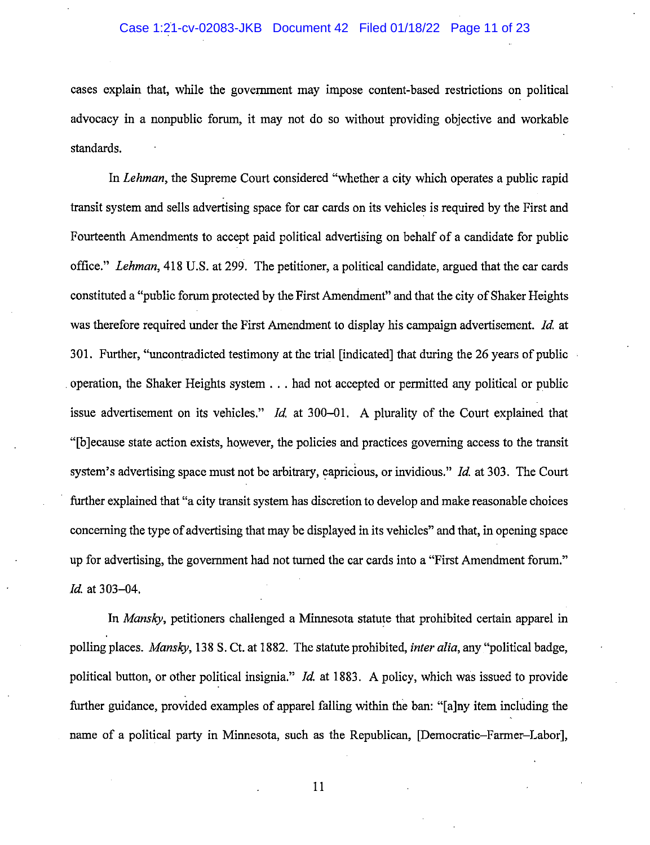### Case 1:21-cv-02083-JKB Document 42 Filed 01/18/22 Page 11 of 23

cases explain that, while the government may impose content-based restrictions on political advocacy in a nonpublic forum, it may not do so without providing objective and workable standards.

In *Lehman,* the Supreme Court considered "whether a city which operates a public rapid transit system and sells advertising space for car cards on its vehicles is required by the First and Fourteenth Amendments to accept paid political advertising on behalf of a candidate for public office." *Lehman,* 418 U.S. at 299. The petitioner, a political candidate, argued that the car cards constituted a "public forum protected by the First Amendment" and that the city of Shaker Heights was therefore required under the First Amendment to display his campaign advertisement. *Id* at 301. Further, "uncontradicted testimony at the trial [indicated] that during the 26 years of public operation, the Shaker Heights system ... had not accepted or permitted any political or public issue advertisement on its vehicles." *Id* at 300-01. A plurality of the Court explained that "[b] ecause state action exists, however, the policies and practices governing access to the transit system's advertising space must not be arbitrary, capricious, or invidious." */d.* at 303. The Court further explained that "a city transit system has discretion to develop and make reasonable choices concerning the type of advertising that may be displayed in its vehicles" and that, in opening space up for advertising, the government had not turned the car cards into a "First Amendment forum." */d.* at 303-04.

In *Mansky,* petitioners challenged a Minnesota statute that prohibited certain apparel in polling places. *Mansky,* 138 S. Ct. at 1882. The statute prohibited, *inter alia,* any "political badge, political button, or other political insignia." *!d.* at 1883. A policy, which was issued to provide further guidance, provided examples of apparel falling within the ban: "[a ]ny item including the name of a political party in Minnesota, such as the Republican, [Democratic-Farmer-Labor],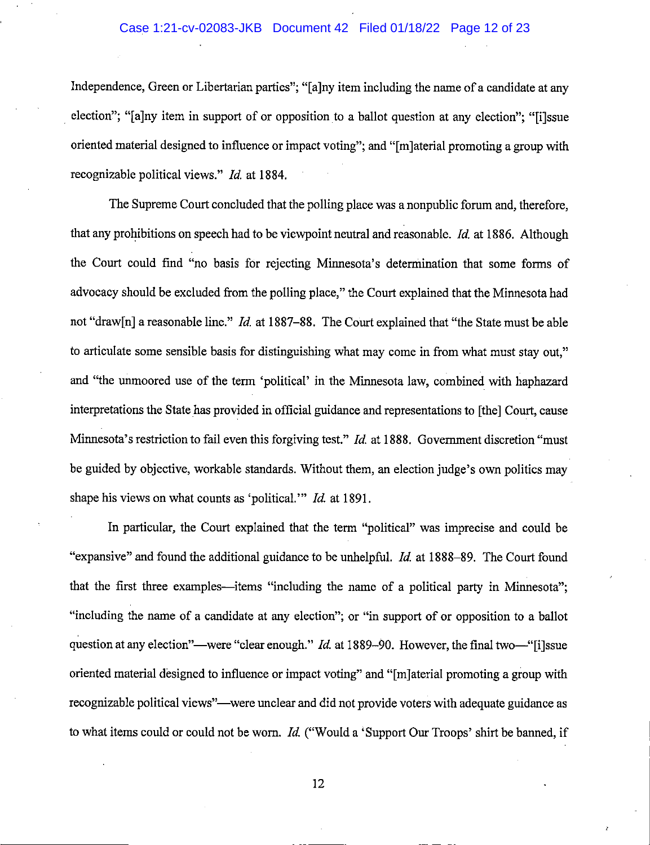### Case 1:21-cv-02083-JKB Document 42 Filed 01/18/22 Page 12 of 23

Independence, Green or Libertarian parties"; "[a]ny item including the name of a candidate at any election"; "[a]ny item in support of or opposition to a ballot question at any election"; "[i]ssue oriented material designed to influence or impact voting"; and "[m ]aterial promoting a group with recognizable political views." *Id.* at 1884.

The Supreme Court concluded that the polling place was a nonpublic forum and, therefore, that any prohibitions on speech had to be viewpoint neutral and reasonable. *!d.* at 1886. Although the Court could find "no basis for rejecting Minnesota's determination that some forms of advocacy should be excluded from the polling place," the Court explained that the Minnesota had not "draw[n] a reasonable line." *Id.* at 1887-88. The Court explained that "the State must be able to articulate some sensible basis for distinguishing what may come in from what must stay out," and "the unmoored use of the term 'political' in the Minnesota Jaw, combined with haphazard interpretations the State has provided in official guidance and representations to [the] Court, cause Minnesota's restriction to fail even this forgiving test." *Id.* at 1888. Government discretion "must be guided by objective, workable standards. Without them, an election judge's own politics may shape his views on what counts as 'political."' *ld.* at 1891.

In particular, the Court explained that the term "political" was imprecise and could be "expansive" and found the additional guidance to be unhelpful. *Id.* at 1888-89. The Court found that the first three examples—items "including the name of a political party in Minnesota"; "including the name of a candidate at any election"; or "in support of or opposition to a ballot question at any election"—were "clear enough." *Id.* at 1889-90. However, the final two-"[i]ssue oriented material designed to influence or impact voting" and "[m]aterial promoting a group with recognizable political views"--were unclear and did not provide voters with adequate guidance as to what items could or could not be worn. *!d.* ("Would a 'Support Our Troops' shirt be banned, if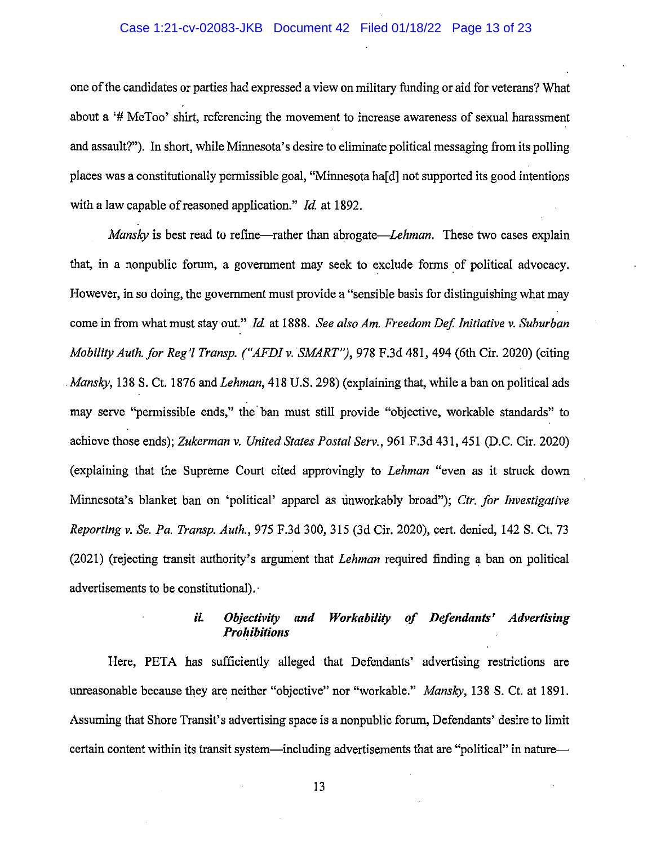### Case 1:21-cv-02083-JKB Document 42 Filed 01/18/22 Page 13 of 23

one of the candidates or parties had expressed a view on military funding or aid for veterans? What about a '# Me Too' shirt, referencing the movement to increase awareness of sexual harassment and assault?"). In short, while Minnesota's desire to eliminate political messaging from its polling places was a constitutionally permissible goal, "Minnesota ha[d] not supported its good intentions with a law capable of reasoned application." *Id.* at 1892.

*Mansky* is best read to refine—rather than abrogate—*Lehman*. These two cases explain that, in a nonpublic forum, a government may seek to exclude forms of political advocacy. However, in so doing, the government must provide a "sensible basis for distinguishing what may come in from what must stay out." *Id* at 1888. *See also Am. Freedom Def Initiative v. Suburban Mobility Auth. for Reg'! Transp. ("AFDI v. SMART"),* 978 F.3d 481, 494 (6th Cir. 2020) (citing *Mansky,* 138 S. Ct. 1876 and *Lehman,* 418 U.S. 298) (explaining that, while a ban on political ads may serve "permissible ends," the ban must still provide "objective, workable standards" to achieve those ends); *Zukerman v. United States Postal Serv.,* 961 F.3d 431,451 (D.C. Cir. 2020) (explaining that the Supreme Court cited approvingly to *Lehman* "even as it struck down Minnesota's blanket ban on 'political' apparel as rinworkably broad"); *Ctr. for Investigative Reporting v. Se. Pa. Transp. Auth.,* 975 F.3d 300, 315 (3d Cir. 2020), cert. denied, 142 S. Ct. 73 (2021) (rejecting transit authority's argument that *Lehman* required finding a ban on political advertisements to be constitutional).·

## *ii. Objectivity and Workability of Defendants' Advertising Prohibitions*

Here, PETA has sufficiently alleged that Defendants' advertising restrictions are unreasonable because they are neither "objective" nor "workable." *Mansky,* 138 S. Ct. at 1891. Assuming that Shore Transit's advertising space is a nonpublic forum, Defendants' desire to limit certain content within its transit system—including advertisements that are "political" in nature—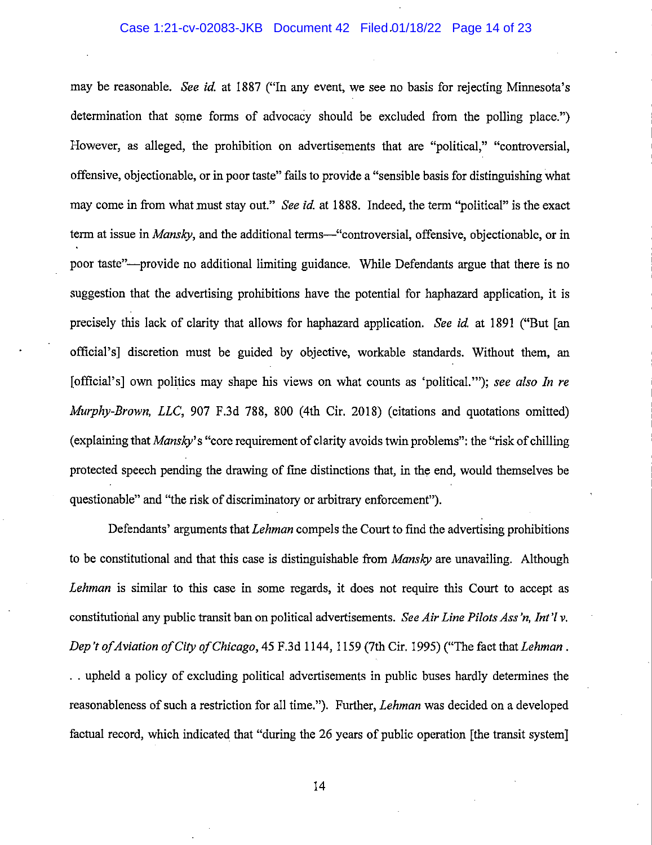### Case 1:21-cv-02083-JKB Document 42 Filed 01/18/22 Page 14 of 23

may be reasonable. *See id.* at 1887 ("In any event, we see no basis for rejecting Minnesota's determination that some forms of advocacy should be excluded from the polling place.") However, as alleged, the prohibition on advertisements that are "political," "controversial, offensive, objectionable, or in poor taste" fails to provide a "sensible basis for distinguishing what may come in from what must stay out." *See id* at 1888. Indeed, the term "political" is the exact term at issue in *Mansky*, and the additional terms—"controversial, offensive, objectionable, or in poor taste"-provide no additional limiting guidance. While Defendants argue that there is no suggestion that the advertising prohibitions have the potential for haphazard application, it is precisely this lack of clarity that allows for haphazard application. *See id* at 1891 ("But [an official's] discretion must be guided by objective, workable standards. Without them, an [official's] own politics may shape his views on what counts as 'political."'); *see also In re Murphy-Brown, LLC,* 907 F.3d 788, 800 (4th Cir. 2018) (citations and quotations omitted) (explaining that *Mansky'* s "core requirement of clarity avoids twin problems": the "risk of chilling protected speech pending the drawing of fme distinctions that, in the end, would themselves be questionable" and "the risk of discriminatory or arbitrary enforcement").

Defendants' arguments that *Lehman* compels the Court to find the advertising prohibitions to be constitutional and that this case is distinguishable from *Mansky* are unavailing. Although *Lehman* is similar to this case in some regards, it does not require this Court to accept as constitutional any public transit ban on political advertisements. *See Air Line Pilots Ass'n, Int'l v. Dep 't of Aviation of City of Chicago,* 45 F.3d 1144, 1159 (7th Cir. 1995) ("The fact that *Lehman .*  . . upheld a policy of excluding political advertisements in public buses hardly determines the reasonableness of such a restriction for all time."). Further, *Lehman* was decided on a developed factual record, which indicated that "during the 26 years of public operation [the transit system]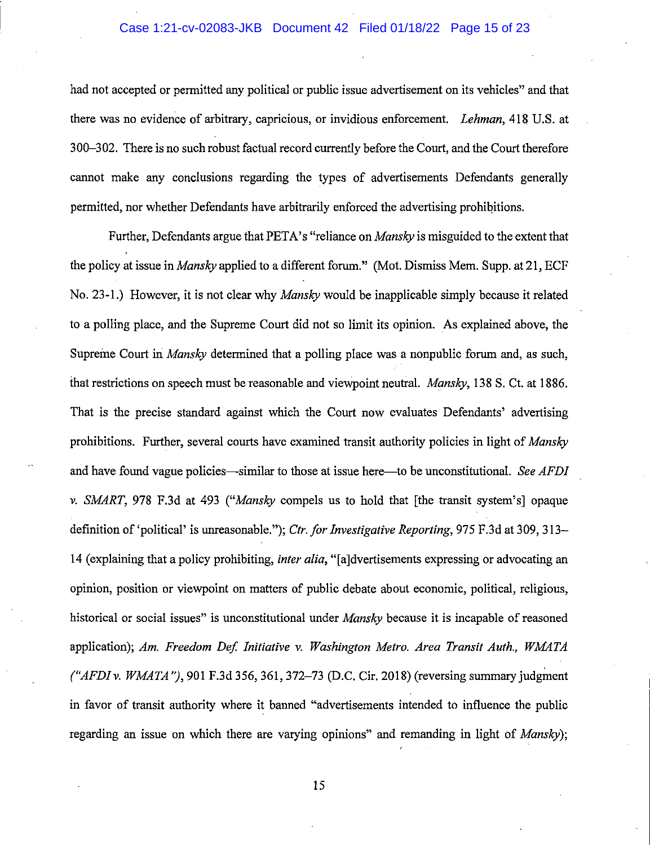#### Case 1:21-cv-02083-JKB Document 42 Filed 01/18/22 Page 15 of 23

had not accepted or permitted any political or public issue advertisement on its vehicles" and that there was no evidence of arbitrary, capricious, or invidious enforcement. *Lehman,* 418 U.S. at 300-302. There is no such robust factual record currently before the Court, and the Court therefore cannot make any conclusions regarding the types of advertisements Defendants generally permitted, nor whether Defendants have arbitrarily enforced the advertising prohibitions.

Further, Defendants argue that PET A's "reliance on *Mansky* is misguided to the extent that the policy at issue *inMansky* applied to a different forum." (Mot. Dismiss Mem. Supp. at 21, ECF No. 23-1.) However, it is not clear why *Mansky* would be inapplicable simply because it related to a polling place, and the Supreme Court did not so limit its opinion. As explained above, the Supreme Court in *Mansky* determined that a polling place was a nonpublic forum and, as such, that restrictions on speech must be reasonable and viewpoint neutral. *Mansky,* 138 S. Ct. at 1886. That is the precise standard against which the Court now evaluates Defendants' advertising prohibitions. Further, several courts have examined transit authority policies in light of *Mansky*  and have found vague policies—similar to those at issue here—to be unconstitutional. *See AFDI v. SMART,* 978 F.3d at 493 *("Mansky* compels us to hold that [the transit system's] opaque definition of 'political' is unreasonable."); *Ctr. for Investigative Reporting,* 975 F.3d at 309, 313- 14 (explaining that a policy prohibiting, *inter alia,* "[a]dvertisements expressing or advocating an opinion, position or viewpoint on matters of public debate about economic, political, religious, historical or social issues" is unconstitutional under *Mansky* because it is incapable of reasoned application); Am. Freedom Def. Initiative v. Washington Metro. Area Transit Auth., WMATA *("AFDI v. WMATA "),* 901 F.3d 356, 361, 372-73 (D.C. Cir. 2018) (reversing summary judgment in favor of transit authority where it banned "advertisements intended to influence the public regarding an issue on which there are varying opinions" and remanding in light of *Mansky);*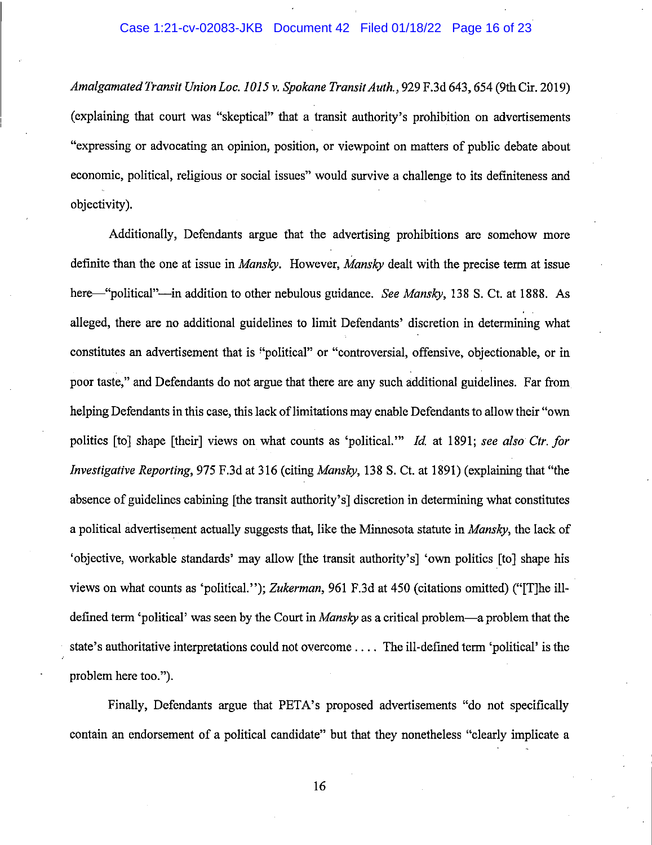### Case 1:21-cv-02083-JKB Document 42 Filed 01/18/22 Page 16 of 23

*Amalgamated Transit Union Loc. I OI5 v. Spokane Transit Auth.,* 929 F.3d 643, 654 (9th Cir. 2019) (explaining that court was "skeptical" that a transit authority's prohibition on advertisements "expressing or advocating an opinion, position, or viewpoint on matters of public debate about economic, political, religious or social issues" would survive a challenge to its definiteness and objectivity).

Additionally, Defendants argue that the advertising prohibitions are somehow more definite than the one at issue in *Mansky.* However, *Mansky* dealt with the precise term at issue here—"political"—in addition to other nebulous guidance. *See Mansky*, 138 S. Ct. at 1888. As alleged, there are no additional guidelines to limit Defendants' discretion in determining what constitutes an advertisement that is "political" or "controversial, offensive, objectionable, or in poor taste," and Defendants do not argue that there are any such additional guidelines. Far from helping Defendants in this case, this lack of limitations may enable Defendants to allow their "own politics [to] shape [their] views on what counts as 'political." *Id.* at 1891; see also Ctr. for *Investigative Reporting,* 975 F.3d at 316 (citing *Mansky,* 138 S. Ct. at 1891) (explaining that "the absence of guidelines cabining [the transit authority's] discretion in determining what constitutes a political advertisement actually suggests that, like the Minnesota statute in *Mansky,* the lack of 'objective, workable standards' may allow [the transit authority's] 'own politics [to] shape his views on what counts as 'political."); *Zukerman,* 961 F.3d at 450 (citations omitted) ("[T]he illdefined term 'political' was seen by the Court in *Mansky* as a critical problem-a problem that the state's authoritative interpretations could not overcome .... The ill-defined term 'political' is the problem here too.").

Finally, Defendants argue that PETA's proposed advertisements "do not specifically contain an endorsement of a political candidate" but that they nonetheless "clearly implicate a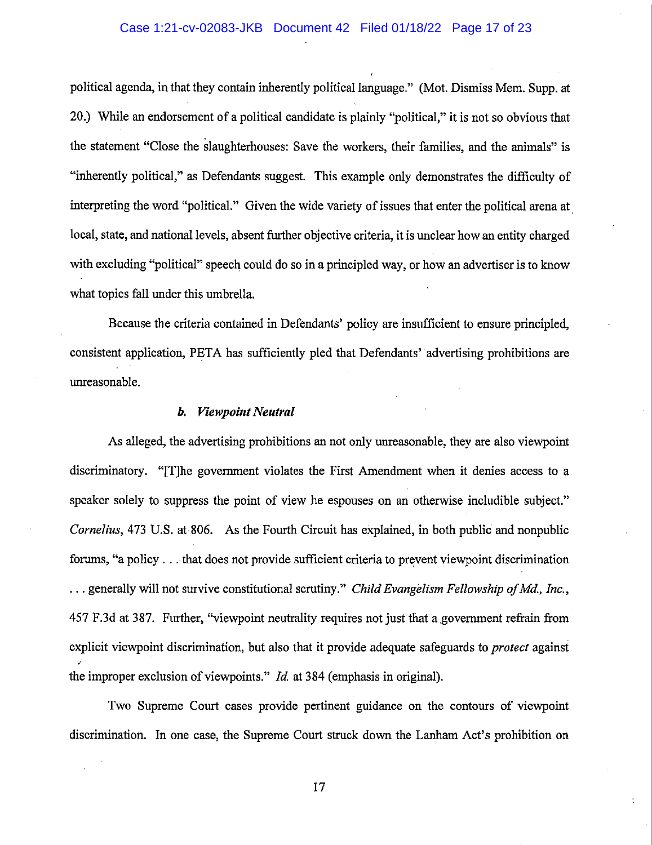### Case 1:21-cv-02083-JKB Document 42 Filed 01/18/22 Page 17 of 23

political agenda, in that they contain inherently political language." (Mot. Dismiss Mem. Supp. at 20.) While an endorsement of a political candidate is plainly "political," it is not so obvious that the statement "Close the slaughterhouses: Save the workers, their families, and the animals" is "inherently political," as Defendants suggest. This example only demonstrates the difficulty of interpreting the word "political." Given the wide variety of issues that enter the political arena at local, state, and national levels, absent further objective criteria, it is unclear how an entity charged with excluding "political" speech could do so in a principled way, or how an advertiser is to know what topics fall under this umbrella.

Because the criteria contained in Defendants' policy are insufficient to ensure principled, consistent application, PETA has sufficiently pled that Defendants' advertising prohibitions are unreasonable.

#### *b. Viewpoint Neutral*

As alleged, the advertising prohibitions an not only unreasonable, they are also viewpoint discriminatory. "[T]he government violates the First Amendment when it denies access to a speaker solely to suppress the point of view he espouses on an otherwise includible subject." *Cornelius,* 473 U.S. at 806. As the Fourth Circuit has explained, in both public and nonpublic forums, "a policy ... that does not provide sufficient criteria to prevent viewpoint discrimination ... generally will not survive constitutional scrutiny." *Child Evangelism Fellowship of Md., Inc.,*  457 F.3d at 387. Further, "viewpoint neutrality requires not just that a.government refrain from explicit viewpoint discrimination, but also that it provide adequate safeguards to *protect* agairist the improper exclusion of viewpoints." *Id* at 384 (emphasis in original).

Two Supreme Court cases provide pertinent guidance on the contours of viewpoint discrimination. In one case, the Supreme Court struck down the Lanham Act's prohibition on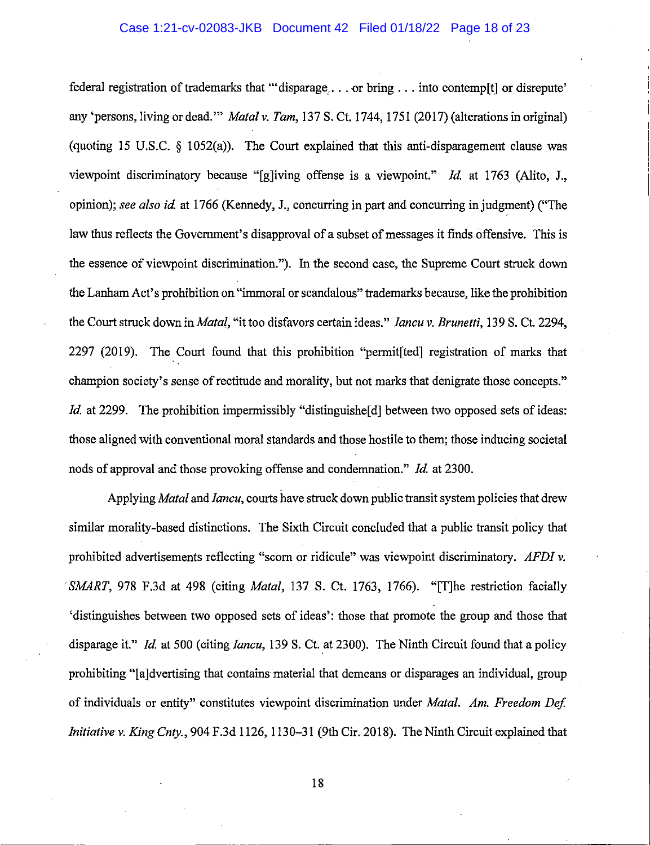#### Case 1:21-cv-02083-JKB Document 42 Filed 01/18/22 Page 18 of 23

federal registration of trademarks that '"disparage, ... or bring ... into contemp[t] or disrepute' any 'persons, living or dead."' *Matal* v. *Tam,* 137 S. Ct. 1744, 1751 (2017) (alterations in original) (quoting 15 U.S.C. § 1052(a)). The Court explained that this anti-disparagement clause was viewpoint discriminatory because "[g]iving offense is a viewpoint." *Id* at 1763 (Alito, J., opinion); *see also id* at 1766 (Kennedy, J., concurring in part and concurring in judgment) ("The law thus reflects the Government's disapproval of a subset of messages it finds offensive. This is the essence of viewpoint discrimination."). In the second case, the Supreme Court struck down the Lanham Act's prohibition on "immoral or scandalous" trademarks because, like the prohibition the Court struck down in *Matal,* "it too disfavors certain ideas." *Iancu* v. *Brunetti,* 139 S. Ct. 2294, 2297 (2019). The Court found that this prohibition "permit[ted] registration of marks that champion society's sense of rectitude and morality, but not marks that denigrate those concepts." *Id.* at 2299. The prohibition impermissibly "distinguishe<sup>[d]</sup> between two opposed sets of ideas: those aligned with conventional moral standards and those hostile to them; those inducing societal nods of approval and those provoking offense and condemnation." */d.* at 2300.

Applying *Matal* and *Iancu*, courts have struck down public transit system policies that drew similar morality-based distinctions. The Sixth Circuit concluded that a public transit policy that prohibited advertisements reflecting "scorn or ridicule" was viewpoint discriminatory. *AFDI* v. *SMART,* 978 F.3d at 498 (citing *Matal,* 137 S. Ct. 1763, 1766). "[T]he restriction facially 'distinguishes between two opposed sets of ideas': those that promote the group and those that disparage it." */d.* at 500 (citing */ancu,* 139 S. Ct. at 2300). The Ninth Circuit found that a policy prohibiting "[a]dvertising that contains material that demeans or disparages an individual, group of individuals or entity" constitutes viewpoint discrimination under *Matal. Am. Freedom Def Initiative* v. *King Cnty.,* 904 F.3d 1126, 1130-31 (9th Cir. 2018). The Ninth Circuit explained that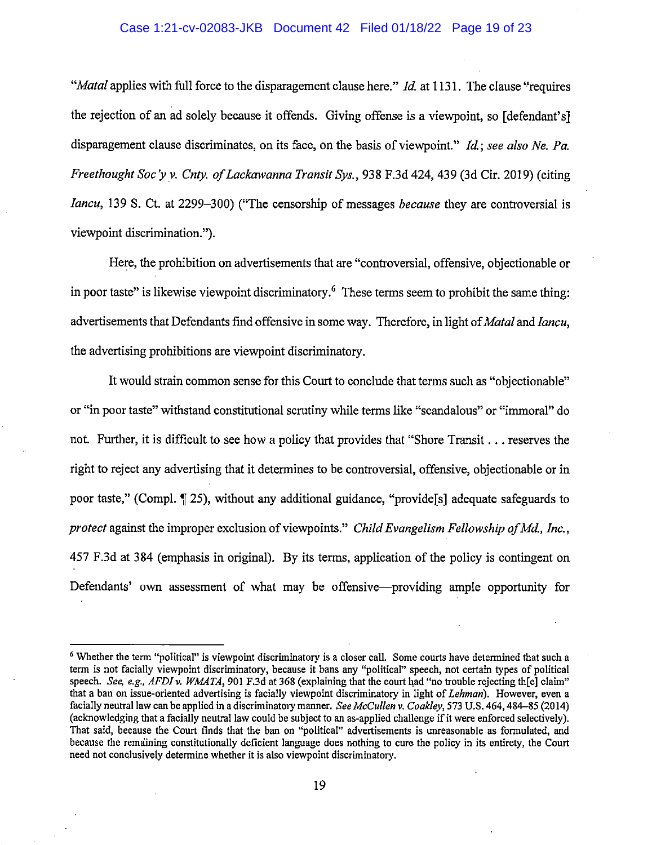### Case 1:21-cv-02083-JKB Document 42 Filed 01/18/22 Page 19 of 23

*"Matal* applies with full force to the disparagement clause here." *!d.* at 1131. The clause ''requires the rejection of an ad solely because it offends. Giving offense is a viewpoint, so [defendant's] disparagement clause discriminates, on its face, on the basis of viewpoint." *!d.; see also Ne. Pa. Freethought Soc'y v. Cnty. of Lackawanna Transit Sys.,* 938 F.3d 424,439 (3d Cir. 2019) (citing *Iancu,* 139 S. Ct. at 2299-300) ("The censorship of messages *because* they are controversial is viewpoint discrimination.").

Here, the prohibition on advertisements that are "controversial, offensive, objectionable or in poor taste" is likewise viewpoint discriminatory.<sup>6</sup> These terms seem to prohibit the same thing: advertisements that Defendants find offensive in some way. Therefore, in light of *Matal* and *Iancu*, the advertising prohibitions are viewpoint discriminatory.

It would strain common sense for this Court to conclude that terms such as "objectionable" or "in poor taste" withstand constitutional scrutiny while terms like "scandalous" or "immoral" do not. Further, it is difficult to see how a policy that provides that "Shore Transit ... reserves the right to reject any advertising that it determines to be controversial, offensive, objectionable or in poor taste," (Compl. ~ 25), without any additional guidance, "provide[s] adequate safeguards to *protect* against the improper exclusion of viewpoints." *Child Evangelism Fellowship ofMd., Inc.,*  457 F.3d at 384 (emphasis in original). By its terms, application of the policy is contingent on Defendants' own assessment of what may be offensive—providing ample opportunity for

<sup>&</sup>lt;sup>6</sup> Whether the term "political" is viewpoint discriminatory is a closer call. Some courts have determined that such a term is not facially viewpoint discriminatory, because it bans any "political" speech, not certain types of political speech. *See, e.g., AFDI v. WMATA*, 901 F.3d at 368 (explaining that the court had "no trouble rejecting th[e] claim" that a ban on issue-oriented advertising is facially viewpoint discriminatory in light of *Lehman*). However, even a facially neutral law can be applied in a discriminatory manner. *See McCullen v. Coakley*, 573 U.S. 464, 484–85 (2014) (acknowledgiog that a facially neutral law could be subject to an as-applied challenge if it were enforced selectively). That said, because the Court finds that the ban on "political" advertisements is unreasonable as formulated, and because the remainiog constitutionally deficient language does nothing to cure the policy in its entirety, the Court need not conclusively determine whether it is also viewpoint discriminatory.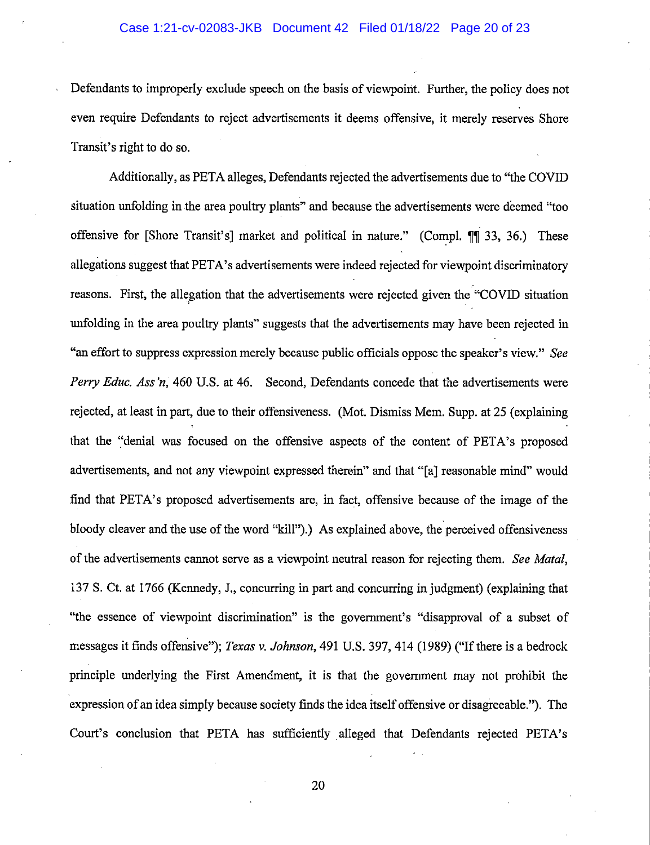Defendants to improperly exclude speech on the basis of viewpoint. Further, the policy does not even require Defendants to reject advertisements it deems offensive, it merely reserves Shore Transit's right to do so.

Additionally, as PETA alleges, Defendants rejected the advertisements due to "the COVID situation unfolding in the area poultry plants" and because the advertisements were deemed "too offensive for [Shore Transit's] market and political in nature." (Compl.  $\P\P$  33, 36.) These allegations suggest that PETA's advertisements were indeed rejected for viewpoint discriminatory reasons. First, the allegation that the advertisements were rejected given the "COVID situation ' unfolding in the area poultry plants" suggests that the advertisements may have been rejected in "an effort to suppress expression merely because public officials oppose the speaker's view." *See Perry Educ. Ass'n,* 460 U.S. at 46. Second, Defendants concede that the advertisements were rejected, at least in part, due to their offensiveness. (Mot. Dismiss Mem. Supp. at 25 (explaining that the "denial was focused on the offensive aspects of the content of PETA's proposed advertisements, and not any viewpoint expressed therein" and that "[a] reasonable mind" would find that PETA's proposed advertisements are, in fact, offensive because of the image of the bloody cleaver and the use of the word "kill").) As explained above, the perceived offensiveness of the advertisements carmot serve as a viewpoint neutral reason for rejecting them. *See Matal,*  137 S. Ct. at 1766 (Kennedy, J., concurring in part and concurring in judgment) (explaining that "the essence of viewpoint discrimination" is the government's "disapproval of a subset of messages it finds offensive"); *Texas v. Johnson,* 491 U.S. 397, 414 (1989) ("If there is a bedrock principle underlying the First Amendment, it is that the government may not prohibit the expression of an idea simply because society finds the idea itself offensive or disagreeable."). The Court's conclusion that PETA has sufficiently alleged that Defendants rejected PETA's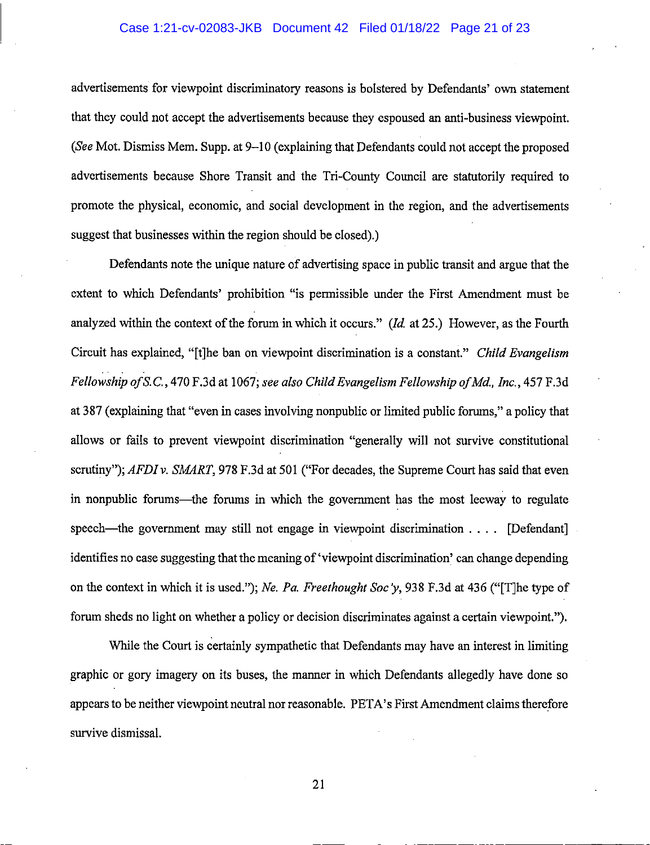#### Case 1:21-cv-02083-JKB Document 42 Filed 01/18/22 Page 21 of 23

advertisements for viewpoint discriminatory reasons is bolstered by Defendants' own statement that they could not accept the advertisements because they espoused an anti-business viewpoint. *(See Mot. Dismiss Mem. Supp. at 9–10 (explaining that Defendants could not accept the proposed* advertisements because Shore Transit and the Tri-County Council are statutorily required to promote the physical, economic, and social development in the region, and the advertisements suggest that businesses within the region should be closed).)

Defendants note the unique nature of advertising space in public transit and argue that the extent to which Defendants' prohibition "is permissible under the First Amendment must be analyzed within the context of the forum in which it occurs." *(Id* at 25.) However, as the Fourth Circuit has explained, "[t]he ban on viewpoint discrimination is a constant." *Child Evangelism Fellowship of* S.C., 470 F.3d at 1067; *see also Child Evangelism Fellowship ofMd., Inc.,* 457 F.3d at 387 (explaining that "even in cases involving nonpublic or limited public forums," a policy that allows or fails to prevent viewpoint discrimination "generally will not survive constitutional scrutiny"); *AFDI v. SMART*, 978 F.3d at 501 ("For decades, the Supreme Court has said that even in nonpublic forums—the forums in which the government has the most leeway to regulate speech—the government may still not engage in viewpoint discrimination . . . . [Defendant] identifies no case suggesting that the meaning of 'viewpoint discrimination' can change depending on the context in which it is used."); *Ne. Pa. Freethought Soc y,* 938 F.3d at 436 ("[T]he type of forum sheds no light on whether a policy or decision discriminates against a certain viewpoint.").

While the Court is certainly sympathetic that Defendants may have an interest in limiting graphic or gory imagery on its buses, the manner in which Defendants allegedly have done so appears to be neither viewpoint neutral nor reasonable. PETA's First Amendment claims therefore survive dismissal.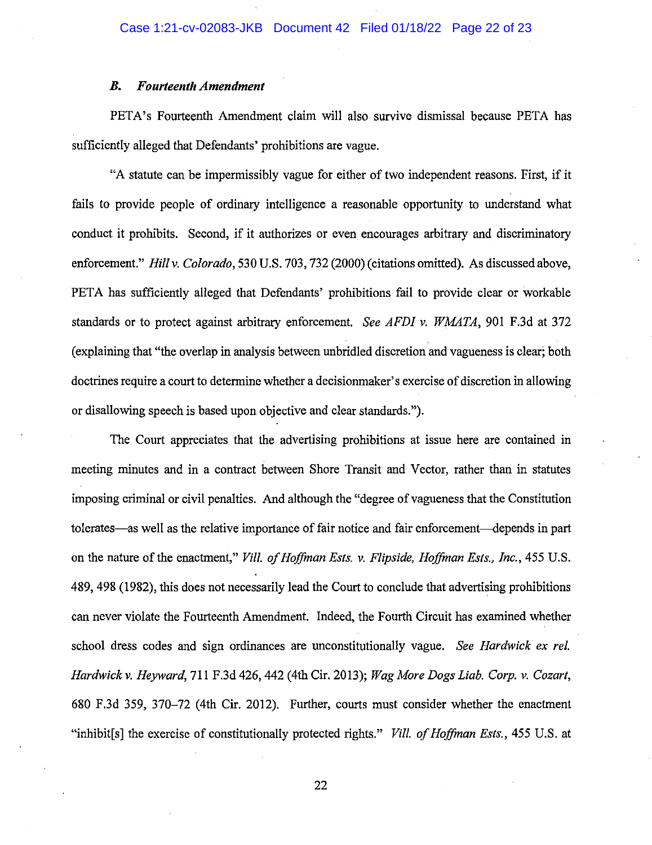#### *B. Fourteenth Amendment*

PETA's Fourteenth Amendment claim will also survive dismissal because PETA has sufficiently alleged that Defendants' prohibitions are vague.

"A statute can be impermissibly vague for either of two independent reasons. First, if it fails to provide people of ordinary intelligence a reasonable opportunity to understand what conduct it prohibits. Second, if it authorizes or even encourages arbitrary and discriminatory enforcement." *Hill v. Colorado,* 530 U.S. 703, 732 (2000) (citations omitted). As discussed above, PETA has sufficiently alleged that Defendants' prohibitions fail to provide clear or workable standards or to protect against arbitrary enforcement. *See AFDI v. WMATA,* 901 F.3d at 372 (explaining that "the overlap in analysis between unbridled discretion and vagueness is clear; both doctrines require a court to determine whether a decisionmaker's exercise of discretion in allowing or disallowing speech is based upon objective and clear standards.").

The Court appreciates that the advertising prohibitions at issue here are contained in meeting minutes and in a contract between Shore Transit and Vector, rather than in statutes imposing criminal or civil penalties. And although the "degree of vagueness that the Constitution tolerates—as well as the relative importance of fair notice and fair enforcement—depends in part on the nature of the enactment," *Vill. of Hoffman Ests. v. Flipside, Hojjinan Ests., Inc.,* 455 U.S. 489, 498 (1982), this does not necessarily lead the Court to conclude that advertising prohibitions can never violate the Fourteenth Amendment. Indeed, the Fourth Circuit has examined whether school dress codes and sign ordinances are unconstitutionally vague. *See Hardwick ex rei. Hardwickv. Heyward,* 711 F.3d 426,442 (4th Cir. 2013); *Wag More Dogs Liab. Corp. v. Cozart,*  680 F.3d 359, 370-72 (4th Cir. 2012). Further, courts must consider whether the enactment "inhibit[s] the exercise of constitutionally protected rights." *Vill. of Hoffman Ests.,* 455 U.S. at